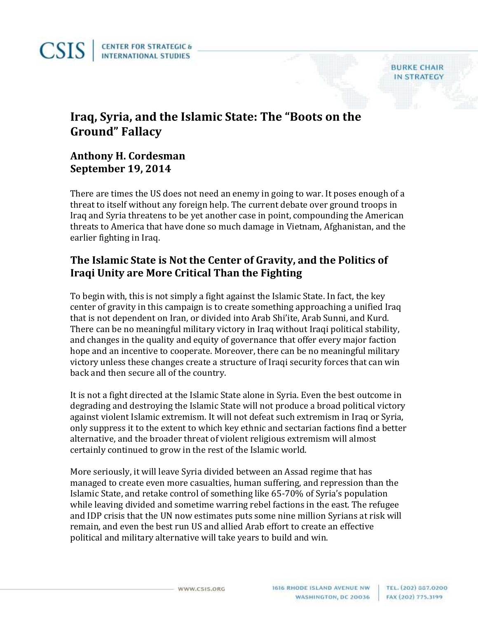**Iraq, Syria, and the Islamic State: The "Boots on the Ground" Fallacy**

## **Anthony H. Cordesman September 19, 2014**

There are times the US does not need an enemy in going to war. It poses enough of a threat to itself without any foreign help. The current debate over ground troops in Iraq and Syria threatens to be yet another case in point, compounding the American threats to America that have done so much damage in Vietnam, Afghanistan, and the earlier fighting in Iraq.

## **The Islamic State is Not the Center of Gravity, and the Politics of Iraqi Unity are More Critical Than the Fighting**

To begin with, this is not simply a fight against the Islamic State. In fact, the key center of gravity in this campaign is to create something approaching a unified Iraq that is not dependent on Iran, or divided into Arab Shi'ite, Arab Sunni, and Kurd. There can be no meaningful military victory in Iraq without Iraqi political stability, and changes in the quality and equity of governance that offer every major faction hope and an incentive to cooperate. Moreover, there can be no meaningful military victory unless these changes create a structure of Iraqi security forces that can win back and then secure all of the country.

It is not a fight directed at the Islamic State alone in Syria. Even the best outcome in degrading and destroying the Islamic State will not produce a broad political victory against violent Islamic extremism. It will not defeat such extremism in Iraq or Syria, only suppress it to the extent to which key ethnic and sectarian factions find a better alternative, and the broader threat of violent religious extremism will almost certainly continued to grow in the rest of the Islamic world.

More seriously, it will leave Syria divided between an Assad regime that has managed to create even more casualties, human suffering, and repression than the Islamic State, and retake control of something like 65-70% of Syria's population while leaving divided and sometime warring rebel factions in the east. The refugee and IDP crisis that the UN now estimates puts some nine million Syrians at risk will remain, and even the best run US and allied Arab effort to create an effective political and military alternative will take years to build and win.

**BURKE CHAIR IN STRATEGY**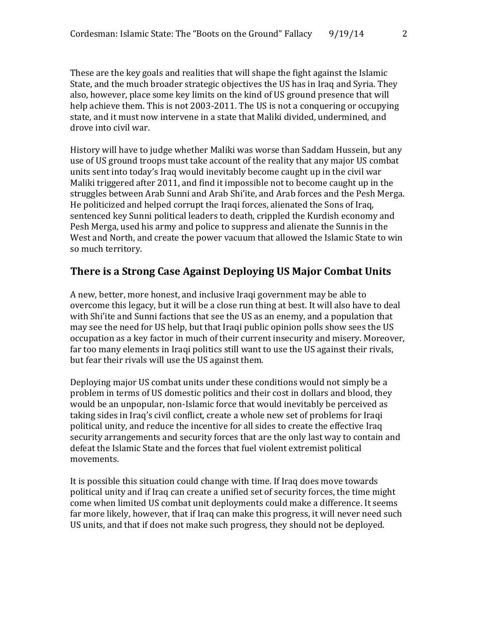These are the key goals and realities that will shape the fight against the Islamic State, and the much broader strategic objectives the US has in Iraq and Syria. They also, however, place some key limits on the kind of US ground presence that will help achieve them. This is not 2003-2011. The US is not a conquering or occupying state, and it must now intervene in a state that Maliki divided, undermined, and drove into civil war.

History will have to judge whether Maliki was worse than Saddam Hussein, but any use of US ground troops must take account of the reality that any major US combat units sent into today's Iraq would inevitably become caught up in the civil war Maliki triggered after 2011, and find it impossible not to become caught up in the struggles between Arab Sunni and Arab Shi'ite, and Arab forces and the Pesh Merga. He politicized and helped corrupt the Iraqi forces, alienated the Sons of Iraq, sentenced key Sunni political leaders to death, crippled the Kurdish economy and Pesh Merga, used his army and police to suppress and alienate the Sunnis in the West and North, and create the power vacuum that allowed the Islamic State to win so much territory.

## **There is a Strong Case Against Deploying US Major Combat Units**

A new, better, more honest, and inclusive Iraqi government may be able to overcome this legacy, but it will be a close run thing at best. It will also have to deal with Shi'ite and Sunni factions that see the US as an enemy, and a population that may see the need for US help, but that Iraqi public opinion polls show sees the US occupation as a key factor in much of their current insecurity and misery. Moreover, far too many elements in Iraqi politics still want to use the US against their rivals, but fear their rivals will use the US against them.

Deploying major US combat units under these conditions would not simply be a problem in terms of US domestic politics and their cost in dollars and blood, they would be an unpopular, non-Islamic force that would inevitably be perceived as taking sides in Iraq's civil conflict, create a whole new set of problems for Iraqi political unity, and reduce the incentive for all sides to create the effective Iraq security arrangements and security forces that are the only last way to contain and defeat the Islamic State and the forces that fuel violent extremist political movements.

It is possible this situation could change with time. If Iraq does move towards political unity and if Iraq can create a unified set of security forces, the time might come when limited US combat unit deployments could make a difference. It seems far more likely, however, that if Iraq can make this progress, it will never need such US units, and that if does not make such progress, they should not be deployed.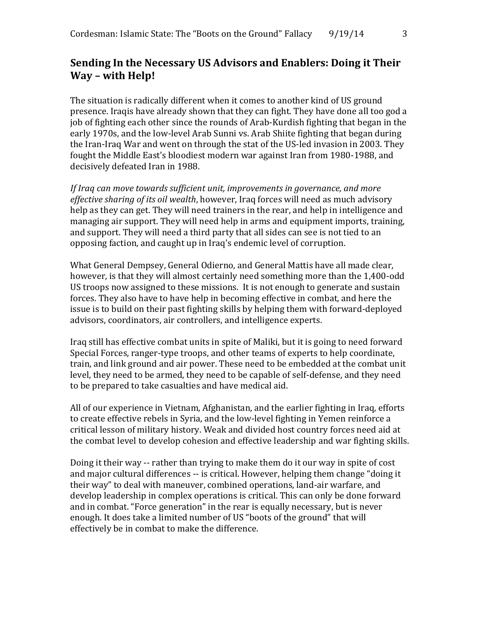## **Sending In the Necessary US Advisors and Enablers: Doing it Their Way – with Help!**

The situation is radically different when it comes to another kind of US ground presence. Iraqis have already shown that they can fight. They have done all too god a job of fighting each other since the rounds of Arab-Kurdish fighting that began in the early 1970s, and the low-level Arab Sunni vs. Arab Shiite fighting that began during the Iran-Iraq War and went on through the stat of the US-led invasion in 2003. They fought the Middle East's bloodiest modern war against Iran from 1980-1988, and decisively defeated Iran in 1988.

*If Iraq can move towards sufficient unit, improvements in governance, and more effective sharing of its oil wealth*, however, Iraq forces will need as much advisory help as they can get. They will need trainers in the rear, and help in intelligence and managing air support. They will need help in arms and equipment imports, training, and support. They will need a third party that all sides can see is not tied to an opposing faction, and caught up in Iraq's endemic level of corruption.

What General Dempsey, General Odierno, and General Mattis have all made clear, however, is that they will almost certainly need something more than the 1,400-odd US troops now assigned to these missions. It is not enough to generate and sustain forces. They also have to have help in becoming effective in combat, and here the issue is to build on their past fighting skills by helping them with forward-deployed advisors, coordinators, air controllers, and intelligence experts.

Iraq still has effective combat units in spite of Maliki, but it is going to need forward Special Forces, ranger-type troops, and other teams of experts to help coordinate, train, and link ground and air power. These need to be embedded at the combat unit level, they need to be armed, they need to be capable of self-defense, and they need to be prepared to take casualties and have medical aid.

All of our experience in Vietnam, Afghanistan, and the earlier fighting in Iraq, efforts to create effective rebels in Syria, and the low-level fighting in Yemen reinforce a critical lesson of military history. Weak and divided host country forces need aid at the combat level to develop cohesion and effective leadership and war fighting skills.

Doing it their way -- rather than trying to make them do it our way in spite of cost and major cultural differences -- is critical. However, helping them change "doing it their way" to deal with maneuver, combined operations, land-air warfare, and develop leadership in complex operations is critical. This can only be done forward and in combat. "Force generation" in the rear is equally necessary, but is never enough. It does take a limited number of US "boots of the ground" that will effectively be in combat to make the difference.